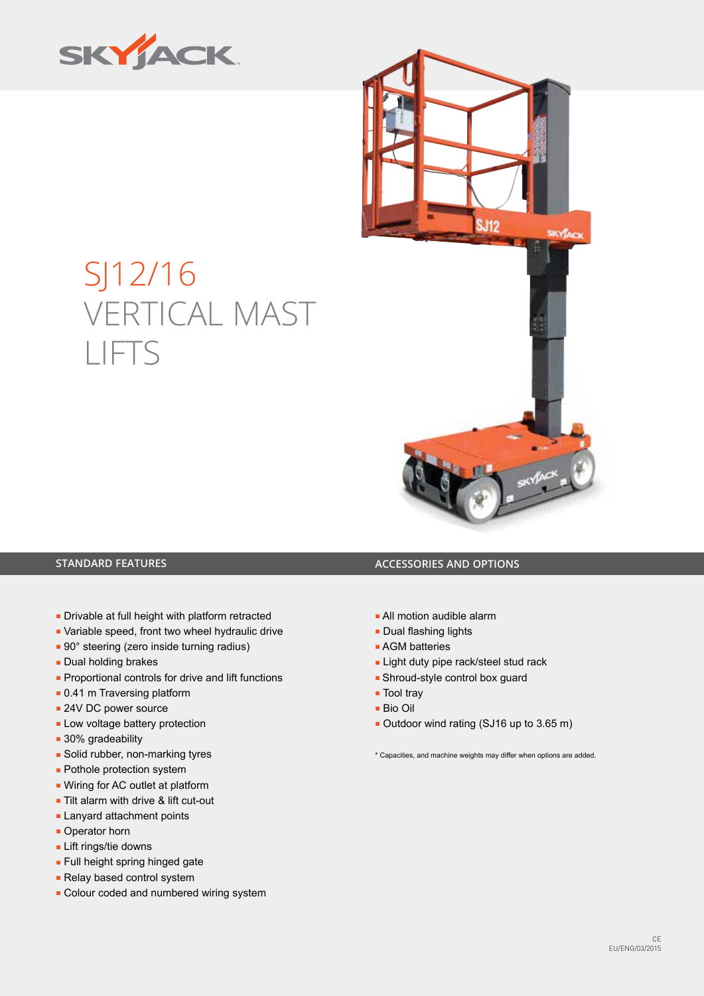



# SJ12/16 VERTICAL MAST LIFTS

- Drivable at full height with platform retracted
- Variable speed, front two wheel hydraulic drive
- 90° steering (zero inside turning radius)
- Dual holding brakes
- Proportional controls for drive and lift functions
- 0.41 m Traversing platform
- 24V DC power source
- Low voltage battery protection
- 30% gradeability
- Solid rubber, non-marking tyres
- Pothole protection system
- Wiring for AC outlet at platform
- Tilt alarm with drive & lift cut-out
- Lanyard attachment points
- Operator horn
- Lift rings/tie downs
- Full height spring hinged gate
- Relay based control system
- Colour coded and numbered wiring system

## **STANDARD FEATURES ACCESSORIES AND OPTIONS**

- All motion audible alarm
- Dual flashing lights
- AGM batteries
- Light duty pipe rack/steel stud rack
- Shroud-style control box guard
- Tool tray
- Bio Oil
- Outdoor wind rating (SJ16 up to 3.65 m)

\* Capacities, and machine weights may differ when options are added.